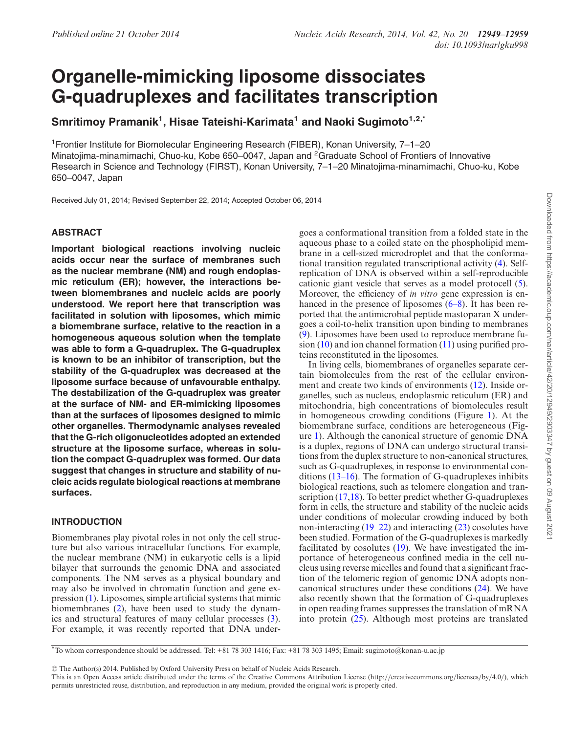# **Organelle-mimicking liposome dissociates G-quadruplexes and facilitates transcription**

 $\boldsymbol{\mathsf{Smritimoy\ Pramanik}}^1,$  Hisae Tateishi-Karimata $^1$  and Naoki Sugimoto $^{1,2,3}$ 

<sup>1</sup>Frontier Institute for Biomolecular Engineering Research (FIBER), Konan University, 7–1–20 Minatojima-minamimachi, Chuo-ku, Kobe 650–0047, Japan and <sup>2</sup>Graduate School of Frontiers of Innovative Research in Science and Technology (FIRST), Konan University, 7–1–20 Minatojima-minamimachi, Chuo-ku, Kobe 650–0047, Japan

Received July 01, 2014; Revised September 22, 2014; Accepted October 06, 2014

# **ABSTRACT**

**Important biological reactions involving nucleic acids occur near the surface of membranes such as the nuclear membrane (NM) and rough endoplasmic reticulum (ER); however, the interactions between biomembranes and nucleic acids are poorly understood. We report here that transcription was facilitated in solution with liposomes, which mimic a biomembrane surface, relative to the reaction in a homogeneous aqueous solution when the template was able to form a G-quadruplex. The G-quadruplex is known to be an inhibitor of transcription, but the stability of the G-quadruplex was decreased at the liposome surface because of unfavourable enthalpy. The destabilization of the G-quadruplex was greater at the surface of NM- and ER-mimicking liposomes than at the surfaces of liposomes designed to mimic other organelles. Thermodynamic analyses revealed that the G-rich oligonucleotides adopted an extended structure at the liposome surface, whereas in solution the compact G-quadruplex was formed. Our data suggest that changes in structure and stability of nucleic acids regulate biological reactions at membrane surfaces.**

# **INTRODUCTION**

Biomembranes play pivotal roles in not only the cell structure but also various intracellular functions. For example, the nuclear membrane (NM) in eukaryotic cells is a lipid bilayer that surrounds the genomic DNA and associated components. The NM serves as a physical boundary and may also be involved in chromatin function and gene expression (1). Liposomes, simple artificial systems that mimic biomembranes (2), have been used to study the dynamics and structural features of many cellular processes (3). For example, it was recently reported that DNA undergoes a conformational transition from a folded state in the aqueous phase to a coiled state on the phospholipid membrane in a cell-sized microdroplet and that the conformational transition regulated transcriptional activity (4). Selfreplication of DNA is observed within a self-reproducible cationic giant vesicle that serves as a model protocell (5). Moreover, the efficiency of *in vitro* gene expression is enhanced in the presence of liposomes  $(6–8)$ . It has been reported that the antimicrobial peptide mastoparan X undergoes a coil-to-helix transition upon binding to membranes (9). Liposomes have been used to reproduce membrane fusion  $(10)$  and ion channel formation  $(11)$  using purified proteins reconstituted in the liposomes.

In living cells, biomembranes of organelles separate certain biomolecules from the rest of the cellular environment and create two kinds of environments (12). Inside organelles, such as nucleus, endoplasmic reticulum (ER) and mitochondria, high concentrations of biomolecules result in homogeneous crowding conditions (Figure 1). At the biomembrane surface, conditions are heterogeneous (Figure 1). Although the canonical structure of genomic DNA is a duplex, regions of DNA can undergo structural transitions from the duplex structure to non-canonical structures, such as G-quadruplexes, in response to environmental conditions (13–16). The formation of G-quadruplexes inhibits biological reactions, such as telomere elongation and transcription (17,18). To better predict whether G-quadruplexes form in cells, the structure and stability of the nucleic acids under conditions of molecular crowding induced by both non-interacting (19–22) and interacting (23) cosolutes have been studied. Formation of the G-quadruplexes is markedly facilitated by cosolutes (19). We have investigated the importance of heterogeneous confined media in the cell nucleus using reverse micelles and found that a significant fraction of the telomeric region of genomic DNA adopts noncanonical structures under these conditions (24). We have also recently shown that the formation of G-quadruplexes in open reading frames suppresses the translation of mRNA into protein (25). Although most proteins are translated

-<sup>C</sup> The Author(s) 2014. Published by Oxford University Press on behalf of Nucleic Acids Research.

<sup>\*</sup>To whom correspondence should be addressed. Tel: +81 78 303 1416; Fax: +81 78 303 1495; Email: sugimoto@konan-u.ac.jp

This is an Open Access article distributed under the terms of the Creative Commons Attribution License (http://creativecommons.org/licenses/by/4.0/), which permits unrestricted reuse, distribution, and reproduction in any medium, provided the original work is properly cited.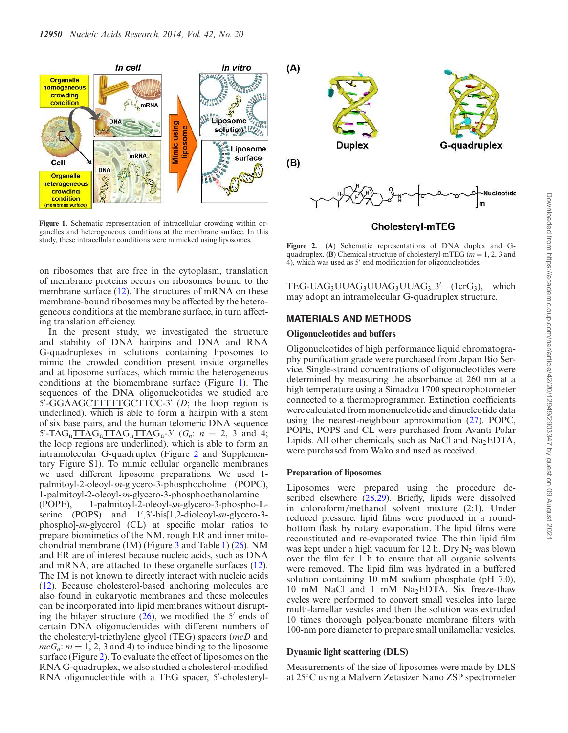

**Figure 1.** Schematic representation of intracellular crowding within organelles and heterogeneous conditions at the membrane surface. In this study, these intracellular conditions were mimicked using liposomes.

on ribosomes that are free in the cytoplasm, translation of membrane proteins occurs on ribosomes bound to the membrane surface (12). The structures of mRNA on these membrane-bound ribosomes may be affected by the heterogeneous conditions at the membrane surface, in turn affecting translation efficiency.

In the present study, we investigated the structure and stability of DNA hairpins and DNA and RNA G-quadruplexes in solutions containing liposomes to mimic the crowded condition present inside organelles and at liposome surfaces, which mimic the heterogeneous conditions at the biomembrane surface (Figure 1). The sequences of the DNA oligonucleotides we studied are 5'-GGAAGCTTTTTGCTTCC-3' (D; the loop region is underlined), which is able to form a hairpin with a stem of six base pairs, and the human telomeric DNA sequence  $5'$ -TAG<sub>n</sub>TTAG<sub>n</sub>TTAG<sub>n</sub>TTAG<sub>n</sub>-3' ( $G_n$ :  $n = 2, 3$  and 4; the loop regions are underlined), which is able to form an intramolecular G-quadruplex (Figure 2 and Supplementary Figure S1). To mimic cellular organelle membranes we used different liposome preparations. We used 1 palmitoyl-2-oleoyl-*sn*-glycero-3-phosphocholine (POPC), 1-palmitoyl-2-oleoyl-*sn*-glycero-3-phosphoethanolamine (POPE), 1-palmitoyl-2-oleoyl-*sn*-glycero-3-phospho-Lserine (POPS) and 1′ ,3′ -bis[1,2-dioleoyl-*sn*-glycero-3 phospho]-*sn*-glycerol (CL) at specific molar ratios to prepare biomimetics of the NM, rough ER and inner mitochondrial membrane (IM) (Figure 3 and Table 1) (26). NM and ER are of interest because nucleic acids, such as DNA and mRNA, are attached to these organelle surfaces (12). The IM is not known to directly interact with nucleic acids (12). Because cholesterol-based anchoring molecules are also found in eukaryotic membranes and these molecules can be incorporated into lipid membranes without disrupting the bilayer structure  $(26)$ , we modified the 5' ends of certain DNA oligonucleotides with different numbers of the cholesteryl-triethylene glycol (TEG) spacers (*mcD* and  $mcG_n$ :  $m = 1, 2, 3$  and 4) to induce binding to the liposome surface (Figure 2). To evaluate the effect of liposomes on the RNA G-quadruplex, we also studied a cholesterol-modified

RNA oligonucleotide with a TEG spacer, 5'-cholesteryl-



# Cholesteryl-mTEG

**Figure 2.** (**A**) Schematic representations of DNA duplex and Gquadruplex. **(B)** Chemical structure of cholesteryl-mTEG ( $m = 1, 2, 3$  and 4), which was used as 5′ end modification for oligonucleotides.

TEG-UAG<sub>3</sub>UUAG<sub>3</sub>UUAG<sub>3</sub>UUAG<sub>3</sub>\_3' (1crG<sub>3</sub>), which may adopt an intramolecular G-quadruplex structure.

# **MATERIALS AND METHODS**

#### **Oligonucleotides and buffers**

Oligonucleotides of high performance liquid chromatography purification grade were purchased from Japan Bio Service. Single-strand concentrations of oligonucleotides were determined by measuring the absorbance at 260 nm at a high temperature using a Simadzu 1700 spectrophotometer connected to a thermoprogrammer. Extinction coefficients were calculated from mononucleotide and dinucleotide data using the nearest-neighbour approximation (27). POPC, POPE, POPS and CL were purchased from Avanti Polar Lipids. All other chemicals, such as NaCl and  $Na<sub>2</sub>EDTA$ , were purchased from Wako and used as received.

#### **Preparation of liposomes**

Liposomes were prepared using the procedure described elsewhere (28,29). Briefly, lipids were dissolved in chloroform/methanol solvent mixture (2:1). Under reduced pressure, lipid films were produced in a roundbottom flask by rotary evaporation. The lipid films were reconstituted and re-evaporated twice. The thin lipid film was kept under a high vacuum for 12 h. Dry  $N_2$  was blown over the film for 1 h to ensure that all organic solvents were removed. The lipid film was hydrated in a buffered solution containing 10 mM sodium phosphate (pH 7.0), 10 mM NaCl and 1 mM Na2EDTA. Six freeze-thaw cycles were performed to convert small vesicles into large multi-lamellar vesicles and then the solution was extruded 10 times thorough polycarbonate membrane filters with 100-nm pore diameter to prepare small unilamellar vesicles.

## **Dynamic light scattering (DLS)**

Measurements of the size of liposomes were made by DLS at 25◦C using a Malvern Zetasizer Nano ZSP spectrometer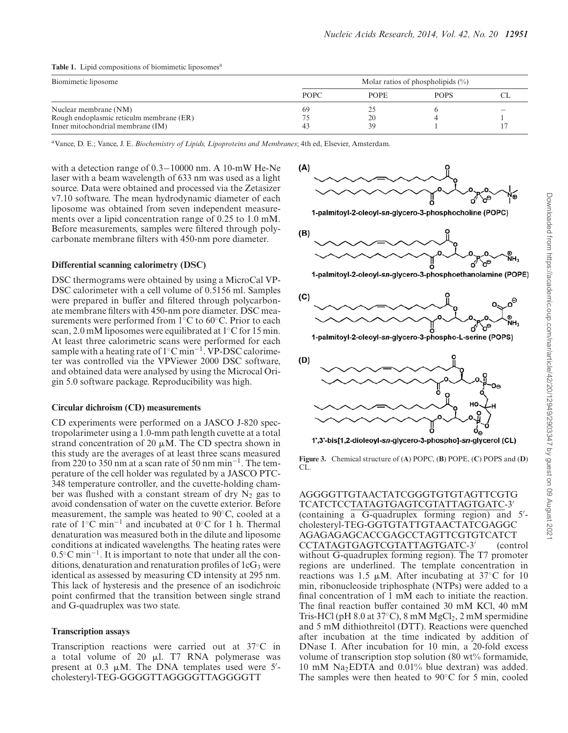| Biomimetic liposome                      | Molar ratios of phospholipids $(\%)$ |             |             |    |
|------------------------------------------|--------------------------------------|-------------|-------------|----|
|                                          | <b>POPC</b>                          | <b>POPE</b> | <b>POPS</b> | СI |
| Nuclear membrane (NM)                    | 69                                   |             |             |    |
| Rough endoplasmic reticulm membrane (ER) |                                      | 20          |             |    |
| Inner mitochondrial membrane (IM)        |                                      | 39          |             |    |

#### **Table 1.** Lipid compositions of biomimetic liposomes<sup>a</sup>

<sup>a</sup>Vance, D. E.; Vance, J. E. *Biochemistry of Lipids, Lipoproteins and Membranes*; 4th ed, Elsevier, Amsterdam.

with a detection range of 0.3−10000 nm. A 10-mW He-Ne laser with a beam wavelength of 633 nm was used as a light source. Data were obtained and processed via the Zetasizer v7.10 software. The mean hydrodynamic diameter of each liposome was obtained from seven independent measurements over a lipid concentration range of 0.25 to 1.0 mM. Before measurements, samples were filtered through polycarbonate membrane filters with 450-nm pore diameter.

#### **Differential scanning calorimetry (DSC)**

DSC thermograms were obtained by using a MicroCal VP-DSC calorimeter with a cell volume of 0.5156 ml. Samples were prepared in buffer and filtered through polycarbonate membrane filters with 450-nm pore diameter. DSC measurements were performed from 1◦C to 60◦C. Prior to each scan, 2.0 mM liposomes were equilibrated at 1◦C for 15 min. At least three calorimetric scans were performed for each sample with a heating rate of 1°C min<sup>-1</sup>. VP-DSC calorimeter was controlled via the VPViewer 2000 DSC software, and obtained data were analysed by using the Microcal Origin 5.0 software package. Reproducibility was high.

#### **Circular dichroism (CD) measurements**

CD experiments were performed on a JASCO J-820 spectropolarimeter using a 1.0-mm path length cuvette at a total strand concentration of 20  $\mu$ M. The CD spectra shown in this study are the averages of at least three scans measured from 220 to 350 nm at a scan rate of 50 nm min−<sup>1</sup> . The temperature of the cell holder was regulated by a JASCO PTC-348 temperature controller, and the cuvette-holding chamber was flushed with a constant stream of dry  $N_2$  gas to avoid condensation of water on the cuvette exterior. Before measurement, the sample was heated to 90◦C, cooled at a rate of 1◦C min<sup>−</sup><sup>1</sup> and incubated at 0◦C for 1 h. Thermal denaturation was measured both in the dilute and liposome conditions at indicated wavelengths. The heating rates were 0.5◦C min<sup>−</sup><sup>1</sup> . It is important to note that under all the conditions, denaturation and renaturation profiles of  $1cG_3$  were identical as assessed by measuring CD intensity at 295 nm. This lack of hysteresis and the presence of an isodichroic point confirmed that the transition between single strand and G-quadruplex was two state.

## **Transcription assays**

Transcription reactions were carried out at 37◦C in a total volume of 20  $\mu$ l. T7 RNA polymerase was present at 0.3  $\mu$ M. The DNA templates used were 5'cholesteryl-TEG-GGGGTTAGGGGTTAGGGGTT



**Figure 3.** Chemical structure of (**A**) POPC, (**B**) POPE, (**C**) POPS and (**D**) CL.

AGGGGTTGTAACTATCGGGTGTGTAGTTCGTG TCATCTCCTATAGTGAGTCGTATTAGTGATC-3′ (containing a G-quadruplex forming region) and 5′ cholesteryl-TEG-GGTGTATTGTAACTATCGAGGC AGAGAGAGCACCGAGCCTAGTTCGTGTCATCT CCTATAGTGAGTCGTATTAGTGATC-3′ (control without G-quadruplex forming region). The T7 promoter regions are underlined. The template concentration in reactions was 1.5  $\mu$ M. After incubating at 37°C for 10 min, ribonucleoside triphosphate (NTPs) were added to a final concentration of 1 mM each to initiate the reaction. The final reaction buffer contained 30 mM KCl, 40 mM Tris-HCl (pH 8.0 at  $37^{\circ}$ C), 8 mM MgCl<sub>2</sub>, 2 mM spermidine and 5 mM dithiothreitol (DTT). Reactions were quenched after incubation at the time indicated by addition of DNase I. After incubation for 10 min, a 20-fold excess volume of transcription stop solution (80 wt $\%$  formamide, 10 mM Na2EDTA and 0.01% blue dextran) was added. The samples were then heated to 90◦C for 5 min, cooled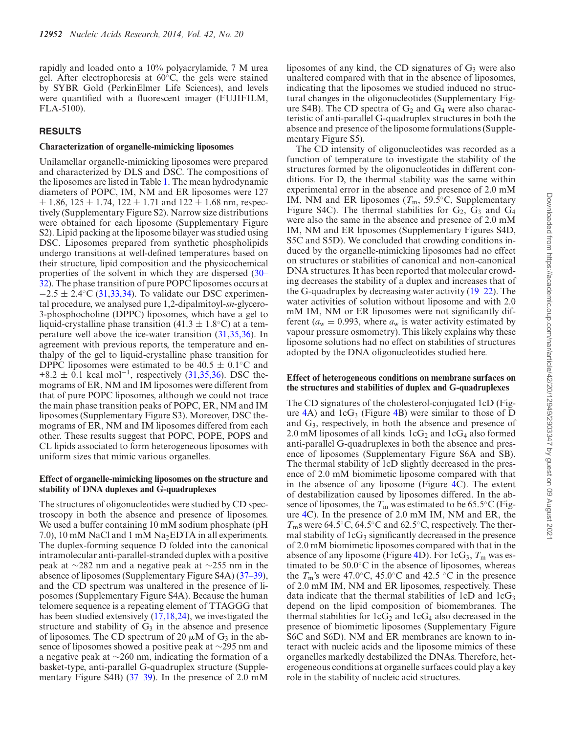rapidly and loaded onto a 10% polyacrylamide, 7 M urea gel. After electrophoresis at 60◦C, the gels were stained by SYBR Gold (PerkinElmer Life Sciences), and levels were quantified with a fluorescent imager (FUJIFILM, FLA-5100).

# **RESULTS**

#### **Characterization of organelle-mimicking liposomes**

Unilamellar organelle-mimicking liposomes were prepared and characterized by DLS and DSC. The compositions of the liposomes are listed in Table 1. The mean hydrodynamic diameters of POPC, IM, NM and ER liposomes were 127  $\pm$  1.86, 125  $\pm$  1.74, 122  $\pm$  1.71 and 122  $\pm$  1.68 nm, respectively (Supplementary Figure S2). Narrow size distributions were obtained for each liposome (Supplementary Figure S2). Lipid packing at the liposome bilayer was studied using DSC. Liposomes prepared from synthetic phospholipids undergo transitions at well-defined temperatures based on their structure, lipid composition and the physicochemical properties of the solvent in which they are dispersed (30– 32). The phase transition of pure POPC liposomes occurs at  $-2.5 \pm 2.4$ °C (31,33,34). To validate our DSC experimental procedure, we analysed pure 1,2-dipalmitoyl-*sn*-glycero-3-phosphocholine (DPPC) liposomes, which have a gel to liquid-crystalline phase transition (41.3  $\pm$  1.8°C) at a temperature well above the ice-water transition (31,35,36). In agreement with previous reports, the temperature and enthalpy of the gel to liquid-crystalline phase transition for DPPC liposomes were estimated to be  $40.5 \pm 0.1$ <sup>°</sup>C and +8.2  $\pm$  0.1 kcal mol<sup>-1</sup>, respectively (31,35,36). DSC themograms of ER, NM and IM liposomes were different from that of pure POPC liposomes, although we could not trace the main phase transition peaks of POPC, ER, NM and IM liposomes (Supplementary Figure S3). Moreover, DSC themograms of ER, NM and IM liposomes differed from each other. These results suggest that POPC, POPE, POPS and CL lipids associated to form heterogeneous liposomes with uniform sizes that mimic various organelles.

## **Effect of organelle-mimicking liposomes on the structure and stability of DNA duplexes and G-quadruplexes**

The structures of oligonucleotides were studied by CD spectroscopy in both the absence and presence of liposomes. We used a buffer containing 10 mM sodium phosphate (pH 7.0), 10 mM NaCl and 1 mM Na2EDTA in all experiments. The duplex-forming sequence D folded into the canonical intramolecular anti-parallel-stranded duplex with a positive peak at ∼282 nm and a negative peak at ∼255 nm in the absence of liposomes (Supplementary Figure S4A) (37–39), and the CD spectrum was unaltered in the presence of liposomes (Supplementary Figure S4A). Because the human telomere sequence is a repeating element of TTAGGG that has been studied extensively (17,18,24), we investigated the structure and stability of  $G_3$  in the absence and presence of liposomes. The CD spectrum of 20  $\mu$ M of G<sub>3</sub> in the absence of liposomes showed a positive peak at ∼295 nm and a negative peak at ∼260 nm, indicating the formation of a basket-type, anti-parallel G-quadruplex structure (Supplementary Figure S4B) (37–39). In the presence of 2.0 mM liposomes of any kind, the CD signatures of  $G_3$  were also unaltered compared with that in the absence of liposomes, indicating that the liposomes we studied induced no structural changes in the oligonucleotides (Supplementary Figure S4B). The CD spectra of  $G_2$  and  $G_4$  were also characteristic of anti-parallel G-quadruplex structures in both the absence and presence of the liposome formulations (Supplementary Figure S5).

The CD intensity of oligonucleotides was recorded as a function of temperature to investigate the stability of the structures formed by the oligonucleotides in different conditions. For D, the thermal stability was the same within experimental error in the absence and presence of 2.0 mM IM, NM and ER liposomes  $(T<sub>m</sub>, 59.5<sup>°</sup>C, Supplementary)$ Figure S4C). The thermal stabilities for  $G_2$ ,  $G_3$  and  $G_4$ were also the same in the absence and presence of 2.0 mM IM, NM and ER liposomes (Supplementary Figures S4D, S5C and S5D). We concluded that crowding conditions induced by the organelle-mimicking liposomes had no effect on structures or stabilities of canonical and non-canonical DNA structures. It has been reported that molecular crowding decreases the stability of a duplex and increases that of the G-quadruplex by decreasing water activity (19–22). The water activities of solution without liposome and with 2.0 mM IM, NM or ER liposomes were not significantly different ( $a_w = 0.993$ , where  $a_w$  is water activity estimated by vapour pressure osmometry). This likely explains why these liposome solutions had no effect on stabilities of structures adopted by the DNA oligonucleotides studied here.

## **Effect of heterogeneous conditions on membrane surfaces on the structures and stabilities of duplex and G-quadruplexes**

The CD signatures of the cholesterol-conjugated 1cD (Figure  $4A$ ) and  $1cG_3$  (Figure  $4B$ ) were similar to those of D and G3, respectively, in both the absence and presence of 2.0 mM liposomes of all kinds.  $1cG_2$  and  $1cG_4$  also formed anti-parallel G-quadruplexes in both the absence and presence of liposomes (Supplementary Figure S6A and SB). The thermal stability of 1cD slightly decreased in the presence of 2.0 mM biomimetic liposome compared with that in the absence of any liposome (Figure 4C). The extent of destabilization caused by liposomes differed. In the absence of liposomes, the  $T<sub>m</sub>$  was estimated to be 65.5 $\rm ^{\circ}C$  (Figure 4C). In the presence of 2.0 mM IM, NM and ER, the *T*<sub>m</sub>s were 64.5<sup>◦</sup>C, 64.5<sup>◦</sup>C and 62.5<sup>◦</sup>C, respectively. The thermal stability of  $1cG_3$  significantly decreased in the presence of 2.0 mM biomimetic liposomes compared with that in the absence of any liposome (Figure 4D). For 1cG<sub>3</sub>,  $T<sub>m</sub>$  was estimated to be 50.0◦C in the absence of liposomes, whereas the  $T_m$ 's were 47.0°C, 45.0°C and 42.5 °C in the presence of 2.0 mM IM, NM and ER liposomes, respectively. These data indicate that the thermal stabilities of  $1cD$  and  $1cG_3$ depend on the lipid composition of biomembranes. The thermal stabilities for  $1cG_2$  and  $1cG_4$  also decreased in the presence of biomimetic liposomes (Supplementary Figure S6C and S6D). NM and ER membranes are known to interact with nucleic acids and the liposome mimics of these organelles markedly destabilized the DNAs. Therefore, heterogeneous conditions at organelle surfaces could play a key role in the stability of nucleic acid structures.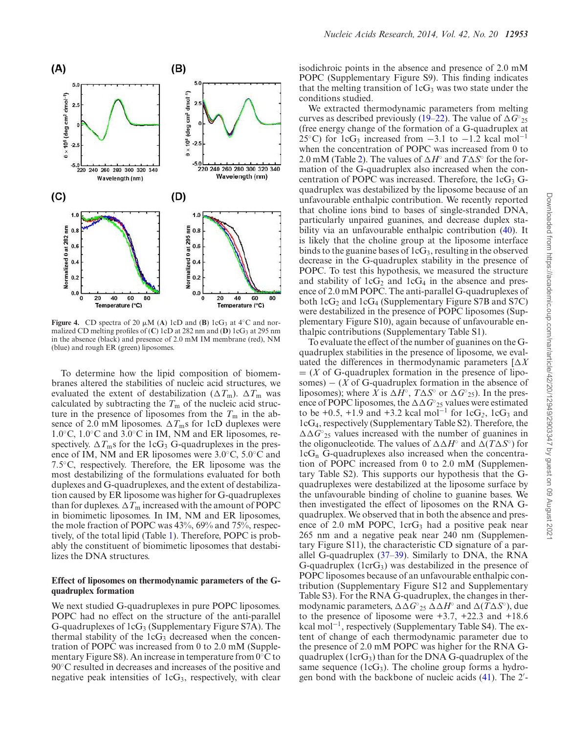

**Figure 4.** CD spectra of 20  $\mu$ M (A) 1cD and (B) 1cG<sub>3</sub> at 4<sup>°</sup>C and normalized CD melting profiles of (C) 1cD at 282 nm and (D) 1cG<sub>3</sub> at 295 nm in the absence (black) and presence of 2.0 mM IM membrane (red), NM (blue) and rough ER (green) liposomes.

To determine how the lipid composition of biomembranes altered the stabilities of nucleic acid structures, we evaluated the extent of destabilization ( $\Delta T_{\text{m}}$ ).  $\Delta T_{\text{m}}$  was calculated by subtracting the  $T<sub>m</sub>$  of the nucleic acid structure in the presence of liposomes from the  $T<sub>m</sub>$  in the absence of 2.0 mM liposomes.  $\Delta T_{\text{m}}$ s for 1cD duplexes were 1.0◦C, 1.0◦C and 3.0◦C in IM, NM and ER liposomes, respectively.  $\Delta T_{\text{m}}$ s for the 1cG<sub>3</sub> G-quadruplexes in the presence of IM, NM and ER liposomes were 3.0◦C, 5.0◦C and 7.5◦C, respectively. Therefore, the ER liposome was the most destabilizing of the formulations evaluated for both duplexes and G-quadruplexes, and the extent of destabilization caused by ER liposome was higher for G-quadruplexes than for duplexes.  $\Delta T_{\mathrm{m}}$  increased with the amount of POPC in biomimetic liposomes. In IM, NM and ER liposomes, the mole fraction of POPC was 43%, 69% and 75%, respectively, of the total lipid (Table 1). Therefore, POPC is probably the constituent of biomimetic liposomes that destabilizes the DNA structures.

## **Effect of liposomes on thermodynamic parameters of the Gquadruplex formation**

We next studied G-quadruplexes in pure POPC liposomes. POPC had no effect on the structure of the anti-parallel G-quadruplexes of  $1cG_3$  (Supplementary Figure S7A). The thermal stability of the  $1cG_3$  decreased when the concentration of POPC was increased from 0 to 2.0 mM (Supplementary Figure S8). An increase in temperature from 0◦C to 90◦C resulted in decreases and increases of the positive and negative peak intensities of  $1cG_3$ , respectively, with clear isodichroic points in the absence and presence of 2.0 mM POPC (Supplementary Figure S9). This finding indicates that the melting transition of  $1cG_3$  was two state under the conditions studied.

We extracted thermodynamic parameters from melting curves as described previously (19–22). The value of  $\Delta G^\circ_{25}$ (free energy change of the formation of a G-quadruplex at 25°C) for 1cG<sub>3</sub> increased from  $-3.1$  to  $-1.2$  kcal mol<sup>-1</sup> when the concentration of POPC was increased from 0 to 2.0 mM (Table 2). The values of  $\Delta H^{\circ}$  and  $T\Delta S^{\circ}$  for the formation of the G-quadruplex also increased when the concentration of POPC was increased. Therefore, the  $1cG_3$  Gquadruplex was destabilized by the liposome because of an unfavourable enthalpic contribution. We recently reported that choline ions bind to bases of single-stranded DNA, particularly unpaired guanines, and decrease duplex stability via an unfavourable enthalpic contribution (40). It is likely that the choline group at the liposome interface binds to the guanine bases of  $1cG_3$ , resulting in the observed decrease in the G-quadruplex stability in the presence of POPC. To test this hypothesis, we measured the structure and stability of  $1cG_2$  and  $1cG_4$  in the absence and presence of 2.0 mM POPC. The anti-parallel G-quadruplexes of both  $1cG_2$  and  $1cG_4$  (Supplementary Figure S7B and S7C) were destabilized in the presence of POPC liposomes (Supplementary Figure S10), again because of unfavourable enthalpic contributions (Supplementary Table S1).

To evaluate the effect of the number of guanines on the Gquadruplex stabilities in the presence of liposome, we evaluated the differences in thermodynamic parameters  $[\Delta X]$  $=(X \text{ of } G\text{-quadruplex formation in the presence of lipo$ somes) – (*X* of G-quadruplex formation in the absence of liposomes); where  $\overline{X}$  is  $\Delta \overline{H}^\circ$ ,  $T \Delta S^\circ$  or  $\Delta G^\circ{}_{25}$ ). In the presence of POPC liposomes, the  $\Delta \Delta G^{\circ}_{25}$  values were estimated to be +0.5, +1.9 and +3.2 kcal mol<sup>-1</sup> for  $1cG_2$ ,  $1cG_3$  and 1cG4, respectively (Supplementary Table S2). Therefore, the  $\Delta\Delta G^{\circ}_{25}$  values increased with the number of guanines in the oligonucleotide. The values of  $\Delta \Delta H^{\circ}$  and  $\Delta (T \Delta S^{\circ})$  for  $1cG_n$  G-quadruplexes also increased when the concentration of POPC increased from 0 to 2.0 mM (Supplementary Table S2). This supports our hypothesis that the Gquadruplexes were destabilized at the liposome surface by the unfavourable binding of choline to guanine bases. We then investigated the effect of liposomes on the RNA Gquadruplex. We observed that in both the absence and presence of 2.0 mM POPC,  $1crG_3$  had a positive peak near 265 nm and a negative peak near 240 nm (Supplementary Figure S11), the characteristic CD signature of a parallel G-quadruplex (37–39). Similarly to DNA, the RNA G-quadruplex  $(lcrG_3)$  was destabilized in the presence of POPC liposomes because of an unfavourable enthalpic contribution (Supplementary Figure S12 and Supplementary Table S3). For the RNA G-quadruplex, the changes in thermodynamic parameters,  $\Delta \Delta G^{\circ}{}_{25} \Delta \Delta H^{\circ}$  and  $\Delta(T \Delta S^{\circ})$ , due to the presence of liposome were  $+3.7$ ,  $+22.3$  and  $+18.6$ kcal mol<sup>−</sup><sup>1</sup> , respectively (Supplementary Table S4). The extent of change of each thermodynamic parameter due to the presence of 2.0 mM POPC was higher for the RNA Gquadruplex ( $1crG_3$ ) than for the DNA G-quadruplex of the same sequence  $(1cG_3)$ . The choline group forms a hydrogen bond with the backbone of nucleic acids (41). The 2′ -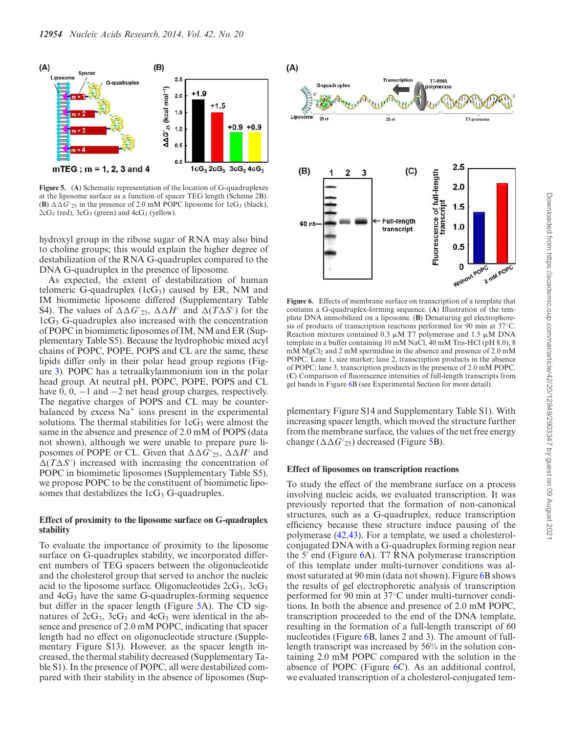

**Figure 5.** (**A**) Schematic representation of the location of G-quadruplexes at the liposome surface as a function of spacer TEG length (Scheme 2B). **(B)**  $\Delta \Delta G^{\circ}_{25}$  in the presence of 2.0 mM POPC liposome for 1cG<sub>3</sub> (black),  $2cG_3$  (red),  $3cG_3$  (green) and  $4cG_3$  (yellow).

hydroxyl group in the ribose sugar of RNA may also bind to choline groups; this would explain the higher degree of destabilization of the RNA G-quadruplex compared to the DNA G-quadruplex in the presence of liposome.

As expected, the extent of destabilization of human telomeric G-quadruplex  $(1cG_3)$  caused by ER, NM and IM biomimetic liposome differed (Supplementary Table S4). The values of  $\Delta \Delta G^{\circ}_{25}$ ,  $\Delta \Delta H^{\circ}$  and  $\Delta (T \Delta S^{\circ})$  for the  $1cG_3$  G-quadruplex also increased with the concentration of POPC in biomimetic liposomes of IM, NM and ER (Supplementary Table S5). Because the hydrophobic mixed acyl chains of POPC, POPE, POPS and CL are the same, these lipids differ only in their polar head group regions (Figure 3). POPC has a tetraalkylammonium ion in the polar head group. At neutral pH, POPC, POPE, POPS and CL have  $0, 0, -1$  and  $-2$  net head group charges, respectively. The negative charges of POPS and CL may be counterbalanced by excess Na<sup>+</sup> ions present in the experimental solutions. The thermal stabilities for  $1cG_3$  were almost the same in the absence and presence of 2.0 mM of POPS (data not shown), although we were unable to prepare pure liposomes of POPE or CL. Given that  $\Delta \Delta \bar{G}^{\circ}{}_{25}$ ,  $\Delta \Delta H^{\circ}$  and  $\Delta(T\Delta S^{\circ})$  increased with increasing the concentration of POPC in biomimetic liposomes (Supplementary Table S5), we propose POPC to be the constituent of biomimetic liposomes that destabilizes the  $1cG_3$  G-quadruplex.

## **Effect of proximity to the liposome surface on G-quadruplex stability**

To evaluate the importance of proximity to the liposome surface on G-quadruplex stability, we incorporated different numbers of TEG spacers between the oligonucleotide and the cholesterol group that served to anchor the nucleic acid to the liposome surface. Oligonucleotides  $2cG_3$ ,  $3cG_3$ and  $4cG_3$  have the same G-quadruplex-forming sequence but differ in the spacer length (Figure 5A). The CD signatures of  $2cG_3$ ,  $3cG_3$  and  $4cG_3$  were identical in the absence and presence of 2.0 mM POPC, indicating that spacer length had no effect on oligonucleotide structure (Supplementary Figure S13). However, as the spacer length increased, the thermal stability decreased (Supplementary Table S1). In the presence of POPC, all were destabilized compared with their stability in the absence of liposomes (Sup-



**Figure 6.** Effects of membrane surface on transcription of a template that contains a G-quadruplex-forming sequence. (**A**) Illustration of the template DNA immobilized on a liposome. (**B**) Denaturing gel electrophoresis of products of transcription reactions performed for 90 min at 37◦C. Reaction mixtures contained 0.3  $\mu$ M T7 polymerase and 1.5  $\mu$ M DNA template in a buffer containing 10 mM NaCl, 40 mM Tris-HCl (pH 8.0), 8 mM MgCl<sub>2</sub> and 2 mM spermidine in the absence and presence of 2.0 mM POPC. Lane 1, size marker; lane 2, transcription products in the absence of POPC; lane 3, transcription products in the presence of 2.0 mM POPC. (**C**) Comparison of fluorescence intensities of full-length transcripts from gel bands in Figure 6B (see Experimental Section for more detail).

plementary Figure S14 and Supplementary Table S1). With increasing spacer length, which moved the structure further from the membrane surface, the values of the net free energy change  $(\Delta \Delta G^{\circ}_{25})$  decreased (Figure 5B).

#### **Effect of liposomes on transcription reactions**

To study the effect of the membrane surface on a process involving nucleic acids, we evaluated transcription. It was previously reported that the formation of non-canonical structures, such as a G-quadruplex, reduce transcription efficiency because these structure induce pausing of the polymerase (42,43). For a template, we used a cholesterolconjugated DNA with a G-quadruplex forming region near the 5′ end (Figure 6A). T7 RNA polymerase transcription of this template under multi-turnover conditions was almost saturated at 90 min (data not shown). Figure 6B shows the results of gel electrophoretic analysis of transcription performed for 90 min at 37◦C under multi-turnover conditions. In both the absence and presence of 2.0 mM POPC, transcription proceeded to the end of the DNA template, resulting in the formation of a full-length transcript of 60 nucleotides (Figure 6B, lanes 2 and 3). The amount of fulllength transcript was increased by 56% in the solution containing 2.0 mM POPC compared with the solution in the absence of POPC (Figure 6C). As an additional control, we evaluated transcription of a cholesterol-conjugated tem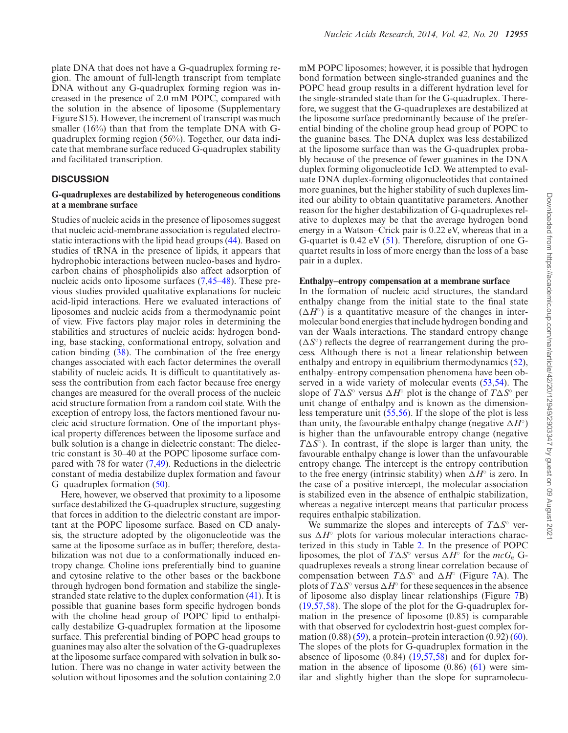plate DNA that does not have a G-quadruplex forming region. The amount of full-length transcript from template DNA without any G-quadruplex forming region was increased in the presence of 2.0 mM POPC, compared with the solution in the absence of liposome (Supplementary Figure S15). However, the increment of transcript was much smaller (16%) than that from the template DNA with Gquadruplex forming region (56%). Together, our data indicate that membrane surface reduced G-quadruplex stability and facilitated transcription.

#### **DISCUSSION**

#### **G-quadruplexes are destabilized by heterogeneous conditions at a membrane surface**

Studies of nucleic acids in the presence of liposomes suggest that nucleic acid-membrane association is regulated electrostatic interactions with the lipid head groups (44). Based on studies of tRNA in the presence of lipids, it appears that hydrophobic interactions between nucleo-bases and hydrocarbon chains of phospholipids also affect adsorption of nucleic acids onto liposome surfaces (7,45–48). These previous studies provided qualitative explanations for nucleic acid-lipid interactions. Here we evaluated interactions of liposomes and nucleic acids from a thermodynamic point of view. Five factors play major roles in determining the stabilities and structures of nucleic acids: hydrogen bonding, base stacking, conformational entropy, solvation and cation binding (38). The combination of the free energy changes associated with each factor determines the overall stability of nucleic acids. It is difficult to quantitatively assess the contribution from each factor because free energy changes are measured for the overall process of the nucleic acid structure formation from a random coil state. With the exception of entropy loss, the factors mentioned favour nucleic acid structure formation. One of the important physical property differences between the liposome surface and bulk solution is a change in dielectric constant: The dielectric constant is 30–40 at the POPC liposome surface compared with 78 for water (7,49). Reductions in the dielectric constant of media destabilize duplex formation and favour G–quadruplex formation (50).

Here, however, we observed that proximity to a liposome surface destabilized the G-quadruplex structure, suggesting that forces in addition to the dielectric constant are important at the POPC liposome surface. Based on CD analysis, the structure adopted by the oligonucleotide was the same at the liposome surface as in buffer; therefore, destabilization was not due to a conformationally induced entropy change. Choline ions preferentially bind to guanine and cytosine relative to the other bases or the backbone through hydrogen bond formation and stabilize the singlestranded state relative to the duplex conformation (41). It is possible that guanine bases form specific hydrogen bonds with the choline head group of POPC lipid to enthalpically destabilize G-quadruplex formation at the liposome surface. This preferential binding of POPC head groups to guanines may also alter the solvation of the G-quadruplexes at the liposome surface compared with solvation in bulk solution. There was no change in water activity between the solution without liposomes and the solution containing 2.0 mM POPC liposomes; however, it is possible that hydrogen bond formation between single-stranded guanines and the POPC head group results in a different hydration level for the single-stranded state than for the G-quadruplex. Therefore, we suggest that the G-quadruplexes are destabilized at the liposome surface predominantly because of the preferential binding of the choline group head group of POPC to the guanine bases. The DNA duplex was less destabilized at the liposome surface than was the G-quadruplex probably because of the presence of fewer guanines in the DNA duplex forming oligonucleotide 1cD. We attempted to evaluate DNA duplex-forming oligonucleotides that contained more guanines, but the higher stability of such duplexes limited our ability to obtain quantitative parameters. Another reason for the higher destabilization of G-quadruplexes relative to duplexes may be that the average hydrogen bond energy in a Watson–Crick pair is 0.22 eV, whereas that in a G-quartet is 0.42 eV (51). Therefore, disruption of one Gquartet results in loss of more energy than the loss of a base pair in a duplex.

#### **Enthalpy–entropy compensation at a membrane surface**

In the formation of nucleic acid structures, the standard enthalpy change from the initial state to the final state  $(\Delta H^{\circ})$  is a quantitative measure of the changes in intermolecular bond energies that include hydrogen bonding and van der Waals interactions. The standard entropy change  $(\Delta S^{\circ})$  reflects the degree of rearrangement during the process. Although there is not a linear relationship between enthalpy and entropy in equilibrium thermodynamics (52), enthalpy–entropy compensation phenomena have been observed in a wide variety of molecular events (53,54). The slope of  $T\Delta S^{\circ}$  versus  $\Delta H^{\circ}$  plot is the change of  $T\Delta S^{\circ}$  per unit change of enthalpy and is known as the dimensionless temperature unit (55,56). If the slope of the plot is less than unity, the favourable enthalpy change (negative  $\Delta H^{\circ}$ ) is higher than the unfavourable entropy change (negative  $T\Delta S^{\circ}$ ). In contrast, if the slope is larger than unity, the favourable enthalpy change is lower than the unfavourable entropy change. The intercept is the entropy contribution to the free energy (intrinsic stability) when  $\Delta H^{\circ}$  is zero. In the case of a positive intercept, the molecular association is stabilized even in the absence of enthalpic stabilization, whereas a negative intercept means that particular process requires enthalpic stabilization.

We summarize the slopes and intercepts of  $T\Delta S^{\circ}$  versus  $\Delta H^{\circ}$  plots for various molecular interactions characterized in this study in Table 2. In the presence of POPC liposomes, the plot of  $T\Delta S^{\circ}$  versus  $\Delta H^{\circ}$  for the  $mcG_n$  Gquadruplexes reveals a strong linear correlation because of compensation between  $T\Delta S^{\circ}$  and  $\Delta H^{\circ}$  (Figure 7A). The plots of  $T\Delta S^{\circ}$  versus  $\Delta H^{\circ}$  for these sequences in the absence of liposome also display linear relationships (Figure 7B) (19,57,58). The slope of the plot for the G-quadruplex formation in the presence of liposome (0.85) is comparable with that observed for cyclodextrin host-guest complex formation  $(0.88)$   $(59)$ , a protein–protein interaction  $(0.92)$   $(60)$ . The slopes of the plots for G-quadruplex formation in the absence of liposome (0.84) (19,57,58) and for duplex formation in the absence of liposome  $(0.86)$   $(61)$  were similar and slightly higher than the slope for supramolecu-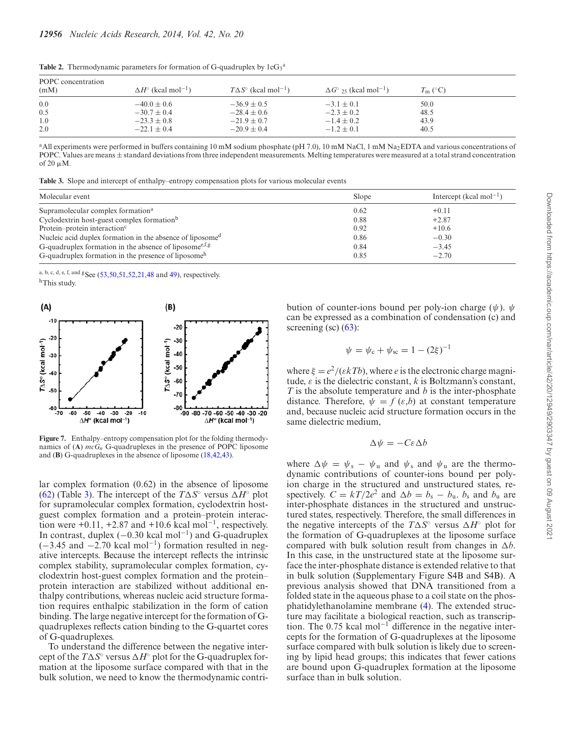| POPC concentration<br>(mM) | $\Delta H^{\circ}$ (kcal mol <sup>-1</sup> ) | $T\Delta S^{\circ}$ (kcal mol <sup>-1</sup> ) | $\Delta G^{\circ}$ 25 (kcal mol <sup>-1</sup> ) | $T_{\rm m}$ (°C) |
|----------------------------|----------------------------------------------|-----------------------------------------------|-------------------------------------------------|------------------|
| 0.0                        | $-40.0 \pm 0.6$                              | $-36.9 \pm 0.5$                               | $-3.1 \pm 0.1$                                  | 50.0             |
| 0.5                        | $-30.7 \pm 0.4$                              | $-28.4 \pm 0.6$                               | $-2.3 \pm 0.2$                                  | 48.5             |
| 1.0                        | $-23.3 \pm 0.8$                              | $-21.9 \pm 0.7$                               | $-1.4 \pm 0.2$                                  | 43.9             |
| 2.0                        | $-22.1 \pm 0.4$                              | $-20.9 \pm 0.4$                               | $-1.2 \pm 0.1$                                  | 40.5             |

**Table 2.** Thermodynamic parameters for formation of G-quadruplex by  $1cG_3^a$ 

<sup>a</sup>All experiments were performed in buffers containing 10 mM sodium phosphate (pH 7.0), 10 mM NaCl, 1 mM Na<sub>2</sub>EDTA and various concentrations of POPC. Values are means ± standard deviations from three independent measurements. Melting temperatures were measured at a total strand concentration of 20  $\mu$ M.

**Table 3.** Slope and intercept of enthalpy–entropy compensation plots for various molecular events

| Molecular event                                                       | Slope | Intercept (kcal mol <sup>-1</sup> ) |
|-----------------------------------------------------------------------|-------|-------------------------------------|
| Supramolecular complex formation <sup>a</sup>                         | 0.62  | $+0.11$                             |
| Cyclodextrin host-guest complex formation <sup>b</sup>                | 0.88  | $+2.87$                             |
| Protein–protein interaction <sup>c</sup>                              | 0.92  | $+10.6$                             |
| Nucleic acid duplex formation in the absence of liposome <sup>d</sup> | 0.86  | $-0.30$                             |
| G-quadruplex formation in the absence of liposome $e^{f,g}$           | 0.84  | $-3.45$                             |
| G-quadruplex formation in the presence of liposome <sup>h</sup>       | 0.85  | $-2.70$                             |

a, b, c, d, e, f, and g<sub>See</sub> (53,50,51,52,21,48 and 49), respectively. hThis study.



**Figure 7.** Enthalpy–entropy compensation plot for the folding thermodynamics of  $(A)$  *mcG<sub>n</sub>* G-quadruplexes in the presence of POPC liposome and (**B**) G-quadruplexes in the absence of liposome (18,42,43).

lar complex formation (0.62) in the absence of liposome (62) (Table 3). The intercept of the  $T\Delta S^{\circ}$  versus  $\Delta H^{\circ}$  plot for supramolecular complex formation, cyclodextrin hostguest complex formation and a protein–protein interaction were  $\pm 0.11$ ,  $\pm 2.87$  and  $\pm 10.6$  kcal mol<sup>-1</sup>, respectively. In contrast, duplex (−0.30 kcal mol<sup>−</sup><sup>1</sup> ) and G-quadruplex  $(-3.45 \text{ and } -2.70 \text{ kcal mol}^{-1})$  formation resulted in negative intercepts. Because the intercept reflects the intrinsic complex stability, supramolecular complex formation, cyclodextrin host-guest complex formation and the protein– protein interaction are stabilized without additional enthalpy contributions, whereas nucleic acid structure formation requires enthalpic stabilization in the form of cation binding. The large negative intercept for the formation of Gquadruplexes reflects cation binding to the G-quartet cores of G-quadruplexes.

To understand the difference between the negative intercept of the  $T\Delta S^{\circ}$  versus  $\Delta H^{\circ}$  plot for the G-quadruplex formation at the liposome surface compared with that in the bulk solution, we need to know the thermodynamic contribution of counter-ions bound per poly-ion charge ( $\psi$ ).  $\psi$ can be expressed as a combination of condensation (c) and screening (sc)  $(63)$ :

$$
\psi = \psi_c + \psi_{sc} = 1 - (2\xi)^{-1}
$$

where  $\xi = e^2/(\varepsilon kTb)$ , where *e* is the electronic charge magnitude,  $\varepsilon$  is the dielectric constant,  $k$  is Boltzmann's constant, *T* is the absolute temperature and *b* is the inter-phosphate distance. Therefore,  $\psi = f(\varepsilon, b)$  at constant temperature and, because nucleic acid structure formation occurs in the same dielectric medium,

$$
\Delta \psi = -C \varepsilon \Delta b
$$

where  $\Delta \psi = \psi_s - \psi_u$  and  $\psi_s$  and  $\psi_u$  are the thermodynamic contributions of counter-ions bound per polyion charge in the structured and unstructured states, respectively.  $C = kT/2e^2$  and  $\Delta b = b_s - b_u$ .  $b_s$  and  $b_u$  are inter-phosphate distances in the structured and unstructured states, respectively. Therefore, the small differences in the negative intercepts of the  $T\Delta S^{\circ}$  versus  $\Delta H^{\circ}$  plot for the formation of G-quadruplexes at the liposome surface compared with bulk solution result from changes in  $\Delta b$ . In this case, in the unstructured state at the liposome surface the inter-phosphate distance is extended relative to that in bulk solution (Supplementary Figure S4B and S4B). A previous analysis showed that DNA transitioned from a folded state in the aqueous phase to a coil state on the phosphatidylethanolamine membrane (4). The extended structure may facilitate a biological reaction, such as transcription. The 0.75 kcal mol<sup>−</sup><sup>1</sup> difference in the negative intercepts for the formation of G-quadruplexes at the liposome surface compared with bulk solution is likely due to screening by lipid head groups; this indicates that fewer cations are bound upon G-quadruplex formation at the liposome surface than in bulk solution.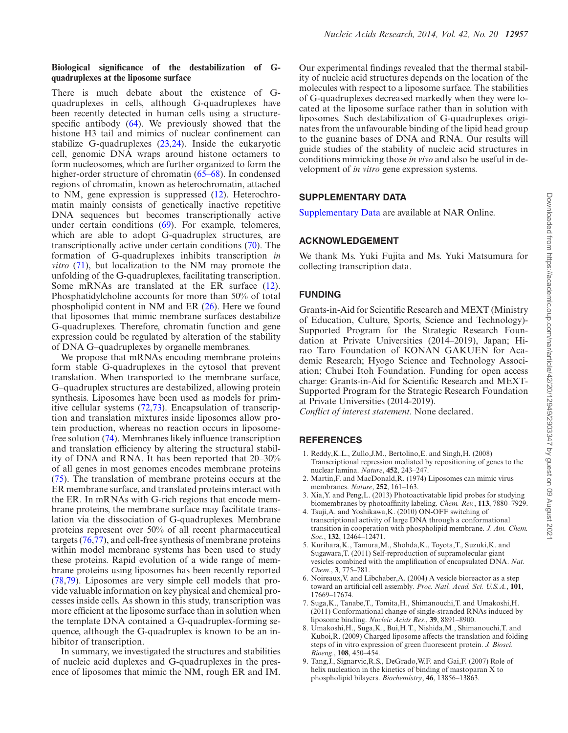## **Biological significance of the destabilization of Gquadruplexes at the liposome surface**

There is much debate about the existence of Gquadruplexes in cells, although G-quadruplexes have been recently detected in human cells using a structurespecific antibody (64). We previously showed that the histone H3 tail and mimics of nuclear confinement can stabilize G-quadruplexes (23,24). Inside the eukaryotic cell, genomic DNA wraps around histone octamers to form nucleosomes, which are further organized to form the higher-order structure of chromatin (65–68). In condensed regions of chromatin, known as heterochromatin, attached to NM, gene expression is suppressed (12). Heterochromatin mainly consists of genetically inactive repetitive DNA sequences but becomes transcriptionally active under certain conditions (69). For example, telomeres, which are able to adopt G-quadruplex structures, are transcriptionally active under certain conditions (70). The formation of G-quadruplexes inhibits transcription *in vitro* (71), but localization to the NM may promote the unfolding of the G-quadruplexes, facilitating transcription. Some mRNAs are translated at the ER surface (12). Phosphatidylcholine accounts for more than 50% of total phospholipid content in NM and ER (26). Here we found that liposomes that mimic membrane surfaces destabilize G-quadruplexes. Therefore, chromatin function and gene expression could be regulated by alteration of the stability of DNA G–quadruplexes by organelle membranes.

We propose that mRNAs encoding membrane proteins form stable G-quadruplexes in the cytosol that prevent translation. When transported to the membrane surface, G–quadruplex structures are destabilized, allowing protein synthesis. Liposomes have been used as models for primitive cellular systems (72,73). Encapsulation of transcription and translation mixtures inside liposomes allow protein production, whereas no reaction occurs in liposomefree solution (74). Membranes likely influence transcription and translation efficiency by altering the structural stability of DNA and RNA. It has been reported that 20–30% of all genes in most genomes encodes membrane proteins (75). The translation of membrane proteins occurs at the ER membrane surface, and translated proteins interact with the ER. In mRNAs with G-rich regions that encode membrane proteins, the membrane surface may facilitate translation via the dissociation of G-quadruplexes. Membrane proteins represent over 50% of all recent pharmaceutical targets (76,77), and cell-free synthesis of membrane proteins within model membrane systems has been used to study these proteins. Rapid evolution of a wide range of membrane proteins using liposomes has been recently reported (78,79). Liposomes are very simple cell models that provide valuable information on key physical and chemical processes inside cells. As shown in this study, transcription was more efficient at the liposome surface than in solution when the template DNA contained a G-quadruplex-forming sequence, although the G-quadruplex is known to be an inhibitor of transcription.

In summary, we investigated the structures and stabilities of nucleic acid duplexes and G-quadruplexes in the presence of liposomes that mimic the NM, rough ER and IM. Our experimental findings revealed that the thermal stability of nucleic acid structures depends on the location of the molecules with respect to a liposome surface. The stabilities of G-quadruplexes decreased markedly when they were located at the liposome surface rather than in solution with liposomes. Such destabilization of G-quadruplexes originates from the unfavourable binding of the lipid head group to the guanine bases of DNA and RNA. Our results will guide studies of the stability of nucleic acid structures in conditions mimicking those *in vivo* and also be useful in development of *in vitro* gene expression systems.

# **SUPPLEMENTARY DATA**

Supplementary Data are available at NAR Online.

# **ACKNOWLEDGEMENT**

We thank Ms. Yuki Fujita and Ms. Yuki Matsumura for collecting transcription data.

## **FUNDING**

Grants-in-Aid for Scientific Research and MEXT (Ministry of Education, Culture, Sports, Science and Technology)- Supported Program for the Strategic Research Foundation at Private Universities (2014–2019), Japan; Hirao Taro Foundation of KONAN GAKUEN for Academic Research; Hyogo Science and Technology Association; Chubei Itoh Foundation. Funding for open access charge: Grants-in-Aid for Scientific Research and MEXT-Supported Program for the Strategic Research Foundation at Private Universities (2014-2019).

*Conflict of interest statement.* None declared.

## **REFERENCES**

- 1. Reddy,K.L., Zullo,J.M., Bertolino,E. and Singh,H. (2008) Transcriptional repression mediated by repositioning of genes to the nuclear lamina. *Nature*, **452**, 243–247.
- 2. Martin,F. and MacDonald,R. (1974) Liposomes can mimic virus membranes. *Nature*, **252**, 161–163.
- 3. Xia,Y. and Peng,L. (2013) Photoactivatable lipid probes for studying biomembranes by photoaffinity labeling. *Chem. Rev.*, **113**, 7880–7929.
- 4. Tsuji,A. and Yoshikawa,K. (2010) ON-OFF switching of transcriptional activity of large DNA through a conformational transition in cooperation with phospholipid membrane. *J. Am. Chem. Soc.*, **132**, 12464–12471.
- 5. Kurihara,K., Tamura,M., Shohda,K., Toyota,T., Suzuki,K. and Sugawara,T. (2011) Self-reproduction of supramolecular giant vesicles combined with the amplification of encapsulated DNA. *Nat. Chem.*, **3**, 775–781.
- 6. Noireaux,V. and Libchaber,A. (2004) A vesicle bioreactor as a step toward an artificial cell assembly. *Proc. Natl. Acad. Sci. U.S.A.*, **101**, 17669–17674.
- 7. Suga,K., Tanabe,T., Tomita,H., Shimanouchi,T. and Umakoshi,H. (2011) Conformational change of single-stranded RNAs induced by liposome binding. *Nucleic Acids Res.*, **39**, 8891–8900.
- 8. Umakoshi,H., Suga,K., Bui,H.T., Nishida,M., Shimanouchi,T. and Kuboi,R. (2009) Charged liposome affects the translation and folding steps of in vitro expression of green fluorescent protein. *J. Biosci. Bioeng.*, **108**, 450–454.
- 9. Tang,J., Signarvic,R.S., DeGrado,W.F. and Gai,F. (2007) Role of helix nucleation in the kinetics of binding of mastoparan X to phospholipid bilayers. *Biochemistry*, **46**, 13856–13863.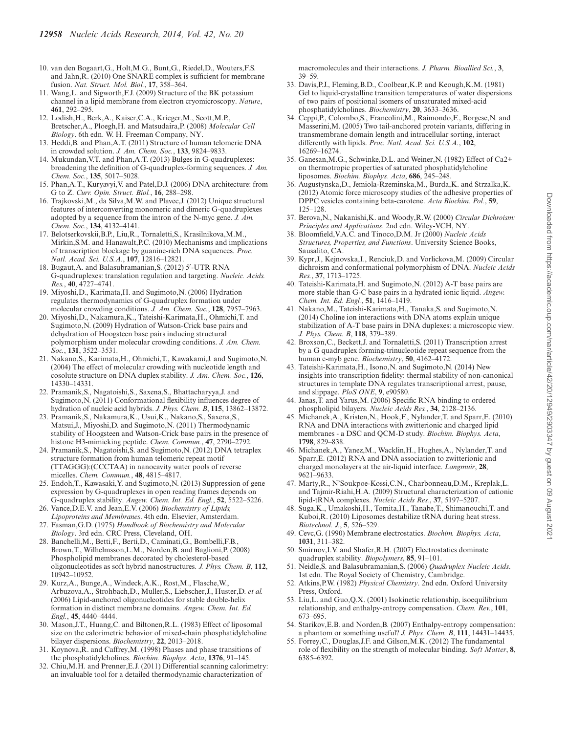- 10. van den Bogaart,G., Holt,M.G., Bunt,G., Riedel,D., Wouters,F.S. and Jahn,R. (2010) One SNARE complex is sufficient for membrane fusion. *Nat. Struct. Mol. Biol.*, **17**, 358–364.
- 11. Wang,L. and Sigworth,F.J. (2009) Structure of the BK potassium channel in a lipid membrane from electron cryomicroscopy. *Nature*, **461**, 292–295.
- 12. Lodish,H., Berk,A., Kaiser,C.A., Krieger,M., Scott,M.P., Bretscher,A., Ploegh,H. and Matsudaira,P. (2008) *Molecular Cell Biology*. 6th edn. W. H. Freeman Company, NY.
- 13. Heddi,B. and Phan,A.T. (2011) Structure of human telomeric DNA in crowded solution. *J. Am. Chem. Soc.*, **133**, 9824–9833.
- 14. Mukundan,V.T. and Phan,A.T. (2013) Bulges in G-quadruplexes: broadening the definition of G-quadruplex-forming sequences. *J. Am. Chem. Soc.*, **135**, 5017–5028.
- 15. Phan,A.T., Kuryavyi,V. and Patel,D.J. (2006) DNA architecture: from G to Z. *Curr. Opin. Struct. Biol.*, **16**, 288–298.
- 16. Trajkovski,M., da Silva,M.W. and Plavec,J. (2012) Unique structural features of interconverting monomeric and dimeric G-quadruplexes adopted by a sequence from the intron of the N-myc gene. *J. Am. Chem. Soc.*, **134**, 4132–4141.
- 17. Belotserkovskii,B.P., Liu,R., Tornaletti,S., Krasilnikova,M.M., Mirkin,S.M. and Hanawalt,P.C. (2010) Mechanisms and implications of transcription blockage by guanine-rich DNA sequences. *Proc. Natl. Acad. Sci. U.S.A.*, **107**, 12816–12821.
- 18. Bugaut,A. and Balasubramanian,S. (2012) 5′ -UTR RNA G-quadruplexes: translation regulation and targeting. *Nucleic. Acids. Res.*, **40**, 4727–4741.
- 19. Miyoshi,D., Karimata,H. and Sugimoto,N. (2006) Hydration regulates thermodynamics of G-quadruplex formation under molecular crowding conditions. *J. Am. Chem. Soc.*, **128**, 7957–7963.
- 20. Miyoshi,D., Nakamura,K., Tateishi-Karimata,H., Ohmichi,T. and Sugimoto,N. (2009) Hydration of Watson-Crick base pairs and dehydration of Hoogsteen base pairs inducing structural polymorphism under molecular crowding conditions. *J. Am. Chem. Soc.*, **131**, 3522–3531.
- 21. Nakano,S., Karimata,H., Ohmichi,T., Kawakami,J. and Sugimoto,N. (2004) The effect of molecular crowding with nucleotide length and cosolute structure on DNA duplex stability. *J. Am. Chem. Soc.*, **126**, 14330–14331.
- 22. Pramanik,S., Nagatoishi,S., Saxena,S., Bhattacharyya,J. and Sugimoto,N. (2011) Conformational flexibility influences degree of hydration of nucleic acid hybrids. *J. Phys. Chem. B*, **115**, 13862–13872.
- 23. Pramanik,S., Nakamura,K., Usui,K., Nakano,S., Saxena,S., Matsui,J., Miyoshi,D. and Sugimoto,N. (2011) Thermodynamic stability of Hoogsteen and Watson-Crick base pairs in the presence of histone H3-mimicking peptide. *Chem. Commun.*, **47**, 2790–2792.
- 24. Pramanik,S., Nagatoishi,S. and Sugimoto,N. (2012) DNA tetraplex structure formation from human telomeric repeat motif (TTAGGG):(CCCTAA) in nanocavity water pools of reverse micelles. *Chem. Commun.*, **48**, 4815–4817.
- 25. Endoh,T., Kawasaki,Y. and Sugimoto,N. (2013) Suppression of gene expression by G-quadruplexes in open reading frames depends on G-quadruplex stability. *Angew. Chem. Int. Ed. Engl.*, **52**, 5522–5226.
- 26. Vance,D.E.V. and Jean,E.V. (2006) *Biochemistry of Lipids, Lipoproteins and Membranes*. 4th edn. Elsevier, Amsterdam.
- 27. Fasman,G.D. (1975) *Handbook of Biochemistry and Molecular Biology*. 3rd edn. CRC Press, Cleveland, OH.
- 28. Banchelli,M., Betti,F., Berti,D., Caminati,G., Bombelli,F.B., Brown,T., Wilhelmsson,L.M., Norden,B. and Baglioni,P. (2008) Phospholipid membranes decorated by cholesterol-based oligonucleotides as soft hybrid nanostructures. *J. Phys. Chem. B*, **112**, 10942–10952.
- 29. Kurz,A., Bunge,A., Windeck,A.K., Rost,M., Flasche,W., Arbuzova,A., Strohbach,D., Muller,S., Liebscher,J., Huster,D. *et al.* (2006) Lipid-anchored oligonucleotides for stable double-helix formation in distinct membrane domains. *Angew. Chem. Int. Ed. Engl.*, **45**, 4440–4444.
- 30. Mason,J.T., Huang,C. and Biltonen,R.L. (1983) Effect of liposomal size on the calorimetric behavior of mixed-chain phosphatidylcholine bilayer dispersions. *Biochemistry*, **22**, 2013–2018.
- 31. Koynova,R. and Caffrey,M. (1998) Phases and phase transitions of the phosphatidylcholines. *Biochim. Biophys. Acta*, **1376**, 91–145.
- 32. Chiu,M.H. and Prenner,E.J. (2011) Differential scanning calorimetry: an invaluable tool for a detailed thermodynamic characterization of

macromolecules and their interactions. *J. Pharm. Bioallied Sci.*, **3**, 39–59.

- 33. Davis,P.J., Fleming,B.D., Coolbear,K.P. and Keough,K.M. (1981) Gel to liquid-crystalline transition temperatures of water dispersions of two pairs of positional isomers of unsaturated mixed-acid phosphatidylcholines. *Biochemistry*, **20**, 3633–3636.
- 34. Ceppi,P., Colombo,S., Francolini,M., Raimondo,F., Borgese,N. and Masserini,M. (2005) Two tail-anchored protein variants, differing in transmembrane domain length and intracellular sorting, interact differently with lipids. *Proc. Natl. Acad. Sci. U.S.A.*, **102**, 16269–16274.
- 35. Ganesan,M.G., Schwinke,D.L. and Weiner,N. (1982) Effect of Ca2+ on thermotropic properties of saturated phosphatidylcholine liposomes. *Biochim. Biophys. Acta*, **686**, 245–248.
- 36. Augustynska,D., Jemiola-Rzeminska,M., Burda,K. and Strzalka,K. (2012) Atomic force microscopy studies of the adhesive properties of DPPC vesicles containing beta-carotene. *Acta Biochim. Pol.*, **59**, 125–128.
- 37. Berova,N., Nakanishi,K. and Woody,R.W. (2000) *Circular Dichroism: Principles and Applications*. 2nd edn. Wiley-VCH, NY.
- 38. Bloomfield,V.A.C. and Tinoco,D.M. Jr (2000) *Nucleic Acids Structures, Properties, and Functions*. University Science Books, Sausalito, CA.
- 39. Kypr,J., Kejnovska,I., Renciuk,D. and Vorlickova,M. (2009) Circular dichroism and conformational polymorphism of DNA. *Nucleic Acids Res.*, **37**, 1713–1725.
- 40. Tateishi-Karimata,H. and Sugimoto,N. (2012) A-T base pairs are more stable than G-C base pairs in a hydrated ionic liquid. *Angew. Chem. Int. Ed. Engl.*, **51**, 1416–1419.
- 41. Nakano,M., Tateishi-Karimata,H., Tanaka,S. and Sugimoto,N. (2014) Choline ion interactions with DNA atoms explain unique stabilization of A-T base pairs in DNA duplexes: a microscopic view. *J. Phys. Chem. B*, **118**, 379–389.
- 42. Broxson,C., Beckett,J. and Tornaletti,S. (2011) Transcription arrest by a G quadruplex forming-trinucleotide repeat sequence from the human c-myb gene. *Biochemistry*, **50**, 4162–4172.
- 43. Tateishi-Karimata,H., Isono,N. and Sugimoto,N. (2014) New insights into transcription fidelity: thermal stability of non-canonical structures in template DNA regulates transcriptional arrest, pause, and slippage. *PloS ONE*, **9**, e90580.
- 44. Janas,T. and Yarus,M. (2006) Specific RNA binding to ordered phospholipid bilayers. *Nucleic Acids Res.*, **34**, 2128–2136.
- 45. Michanek,A., Kristen,N., Hook,F., Nylander,T. and Sparr,E. (2010) RNA and DNA interactions with zwitterionic and charged lipid membranes - a DSC and QCM-D study. *Biochim. Biophys. Acta*, **1798**, 829–838.
- 46. Michanek,A., Yanez,M., Wacklin,H., Hughes,A., Nylander,T. and Sparr,E. (2012) RNA and DNA association to zwitterionic and charged monolayers at the air-liquid interface. *Langmuir*, **28**, 9621–9633.
- 47. Marty,R., N'Soukpoe-Kossi,C.N., Charbonneau,D.M., Kreplak,L. and Tajmir-Riahi, H.A. (2009) Structural characterization of cationic lipid-tRNA complexes. *Nucleic Acids Res.*, **37**, 5197–5207.
- 48. Suga,K., Umakoshi,H., Tomita,H., Tanabe,T., Shimanouchi,T. and Kuboi,R. (2010) Liposomes destabilize tRNA during heat stress. *Biotechnol. J.*, **5**, 526–529.
- 49. Cevc,G. (1990) Membrane electrostatics. *Biochim. Biophys. Acta*, **1031**, 311–382.
- 50. Smirnov,I.V. and Shafer,R.H. (2007) Electrostatics dominate quadruplex stability. *Biopolymers*, **85**, 91–101.
- 51. Neidle,S. and Balasubramanian,S. (2006) *Quadruplex Nucleic Acids*. 1st edn. The Royal Society of Chemistry, Cambridge.
- 52. Atkins,P.W. (1982) *Physical Chemistry*. 2nd edn. Oxford University Press, Oxford.
- 53. Liu,L. and Guo,Q.X. (2001) Isokinetic relationship, isoequilibrium relationship, and enthalpy-entropy compensation. *Chem. Rev.*, **101**, 673–695.
- 54. Starikov,E.B. and Norden,B. (2007) Enthalpy-entropy compensation: a phantom or something useful? *J. Phys. Chem. B*, **111**, 14431–14435.
- 55. Forrey,C., Douglas,J.F. and Gilson,M.K. (2012) The fundamental role of flexibility on the strength of molecular binding. *Soft Matter*, **8**, 6385–6392.